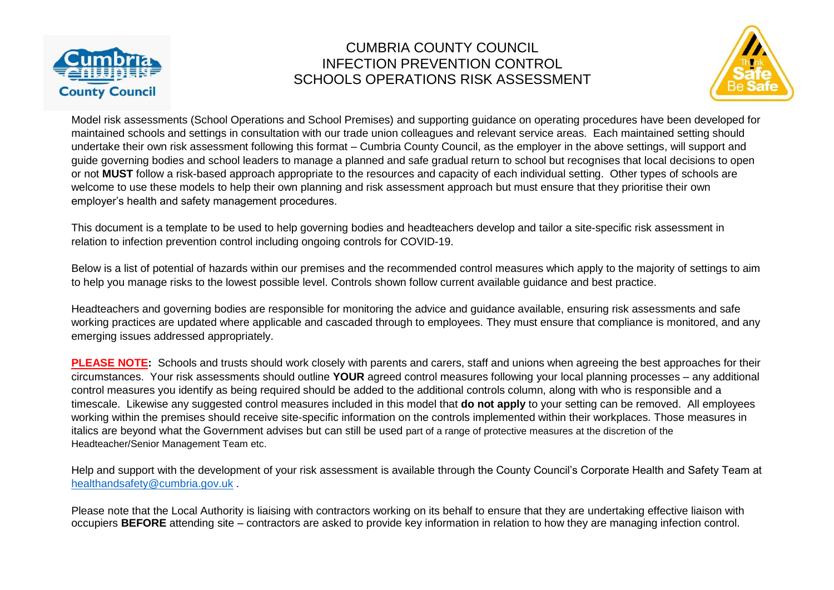



Model risk assessments (School Operations and School Premises) and supporting guidance on operating procedures have been developed for maintained schools and settings in consultation with our trade union colleagues and relevant service areas. Each maintained setting should undertake their own risk assessment following this format – Cumbria County Council, as the employer in the above settings, will support and guide governing bodies and school leaders to manage a planned and safe gradual return to school but recognises that local decisions to open or not **MUST** follow a risk-based approach appropriate to the resources and capacity of each individual setting. Other types of schools are welcome to use these models to help their own planning and risk assessment approach but must ensure that they prioritise their own employer's health and safety management procedures.

This document is a template to be used to help governing bodies and headteachers develop and tailor a site-specific risk assessment in relation to infection prevention control including ongoing controls for COVID-19.

Below is a list of potential of hazards within our premises and the recommended control measures which apply to the majority of settings to aim to help you manage risks to the lowest possible level. Controls shown follow current available guidance and best practice.

Headteachers and governing bodies are responsible for monitoring the advice and guidance available, ensuring risk assessments and safe working practices are updated where applicable and cascaded through to employees. They must ensure that compliance is monitored, and any emerging issues addressed appropriately.

**PLEASE NOTE:** Schools and trusts should work closely with parents and carers, staff and unions when agreeing the best approaches for their circumstances. Your risk assessments should outline **YOUR** agreed control measures following your local planning processes – any additional control measures you identify as being required should be added to the additional controls column, along with who is responsible and a timescale. Likewise any suggested control measures included in this model that **do not apply** to your setting can be removed. All employees working within the premises should receive site-specific information on the controls implemented within their workplaces. Those measures in italics are beyond what the Government advises but can still be used part of a range of protective measures at the discretion of the Headteacher/Senior Management Team etc.

Help and support with the development of your risk assessment is available through the County Council's Corporate Health and Safety Team at [healthandsafety@cumbria.gov.uk](mailto:healthandsafety@cumbria.gov.uk) .

Please note that the Local Authority is liaising with contractors working on its behalf to ensure that they are undertaking effective liaison with occupiers **BEFORE** attending site – contractors are asked to provide key information in relation to how they are managing infection control.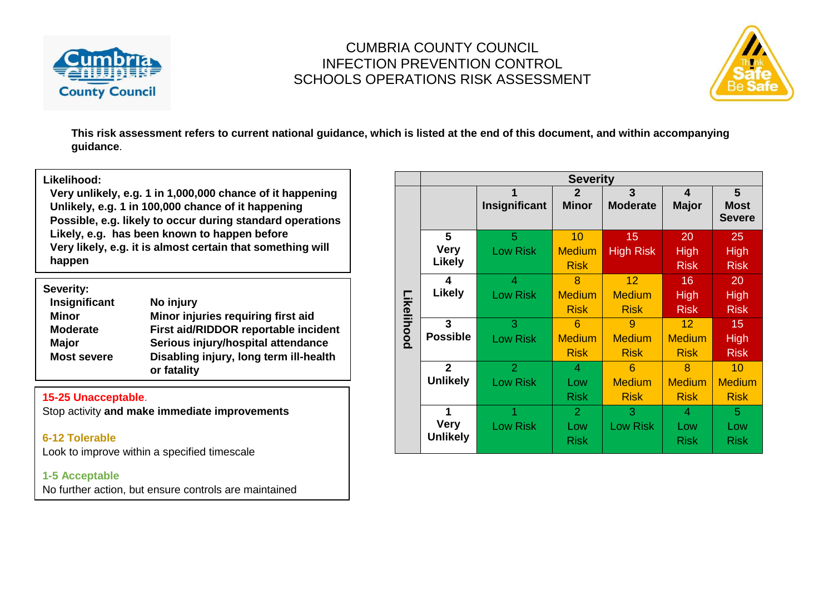



**This risk assessment refers to current national guidance, which is listed at the end of this document, and within accompanying guidance**.

#### **Likelihood:**

**Very unlikely, e.g. 1 in 1,000,000 chance of it happening Unlikely, e.g. 1 in 100,000 chance of it happening Possible, e.g. likely to occur during standard operations Likely, e.g. has been known to happen before Very likely, e.g. it is almost certain that something will happen**

| Severity:          |                                        |
|--------------------|----------------------------------------|
| Insignificant      | No injury                              |
| <b>Minor</b>       | Minor injuries requiring first aid     |
| <b>Moderate</b>    | First aid/RIDDOR reportable incident   |
| <b>Major</b>       | Serious injury/hospital attendance     |
| <b>Most severe</b> | Disabling injury, long term ill-health |
|                    | or fatality                            |

#### **15-25 Unacceptable**.

Stop activity **and make immediate improvements**

**6-12 Tolerable** Look to improve within a specified timescale

#### **1-5 Acceptable**

No further action, but ensure controls are maintained

|            | <b>Severity</b>  |                      |                              |                        |                   |                                                |  |  |  |  |
|------------|------------------|----------------------|------------------------------|------------------------|-------------------|------------------------------------------------|--|--|--|--|
|            |                  | 1<br>Insignificant   | $\mathbf{2}$<br><b>Minor</b> | 3<br><b>Moderate</b>   | 4<br><b>Major</b> | $5\phantom{1}$<br><b>Most</b><br><b>Severe</b> |  |  |  |  |
|            | 5<br><b>Very</b> | 5<br><b>Low Risk</b> | 10<br><b>Medium</b>          | 15<br><b>High Risk</b> | 20<br><b>High</b> | 25<br><b>High</b>                              |  |  |  |  |
|            | Likely           |                      | <b>Risk</b>                  |                        | <b>Risk</b>       | <b>Risk</b>                                    |  |  |  |  |
|            | 4                | 4                    | 8                            | 12                     | $16 \,$           | 20                                             |  |  |  |  |
|            | <b>Likely</b>    | <b>Low Risk</b>      | <b>Medium</b>                | <b>Medium</b>          | <b>High</b>       | <b>High</b>                                    |  |  |  |  |
| Likelihood |                  |                      | <b>Risk</b>                  | <b>Risk</b>            | <b>Risk</b>       | <b>Risk</b>                                    |  |  |  |  |
|            | 3                | 3                    | 6                            | 9                      | 12 <sup>2</sup>   | 15                                             |  |  |  |  |
|            | <b>Possible</b>  | <b>Low Risk</b>      | <b>Medium</b>                | <b>Medium</b>          | <b>Medium</b>     | <b>High</b>                                    |  |  |  |  |
|            |                  |                      | <b>Risk</b>                  | <b>Risk</b>            | <b>Risk</b>       | <b>Risk</b>                                    |  |  |  |  |
|            | $\overline{2}$   | $\overline{2}$       | 4                            | 6                      | 8                 | 10                                             |  |  |  |  |
|            | <b>Unlikely</b>  | <b>Low Risk</b>      | Low                          | <b>Medium</b>          | <b>Medium</b>     | <b>Medium</b>                                  |  |  |  |  |
|            |                  |                      | <b>Risk</b>                  | <b>Risk</b>            | <b>Risk</b>       | <b>Risk</b>                                    |  |  |  |  |
|            | 1                |                      | $\overline{2}$               | 3                      | 4                 | 5                                              |  |  |  |  |
|            | <b>Very</b>      | <b>Low Risk</b>      | Low                          | <b>Low Risk</b>        | Low               | Low                                            |  |  |  |  |
|            | <b>Unlikely</b>  |                      | <b>Risk</b>                  |                        | <b>Risk</b>       | <b>Risk</b>                                    |  |  |  |  |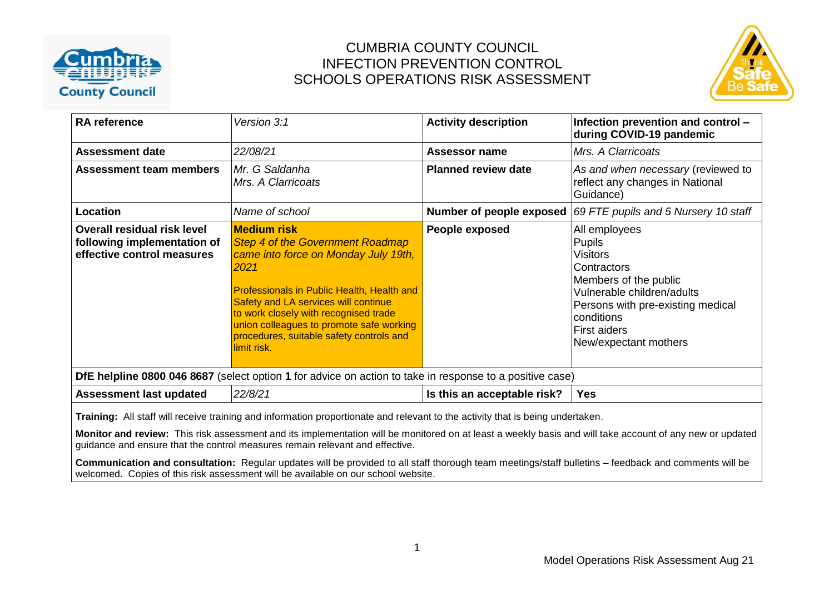



| <b>RA</b> reference                                                                                                                                                                                                                                                                                                                                                        | Version 3:1                                                                                                                                                                                                                                                                                                                                                | <b>Activity description</b> | Infection prevention and control -<br>during COVID-19 pandemic                                                                                                                                               |  |  |  |  |  |
|----------------------------------------------------------------------------------------------------------------------------------------------------------------------------------------------------------------------------------------------------------------------------------------------------------------------------------------------------------------------------|------------------------------------------------------------------------------------------------------------------------------------------------------------------------------------------------------------------------------------------------------------------------------------------------------------------------------------------------------------|-----------------------------|--------------------------------------------------------------------------------------------------------------------------------------------------------------------------------------------------------------|--|--|--|--|--|
| <b>Assessment date</b>                                                                                                                                                                                                                                                                                                                                                     | 22/08/21                                                                                                                                                                                                                                                                                                                                                   | <b>Assessor name</b>        | Mrs. A Clarricoats                                                                                                                                                                                           |  |  |  |  |  |
| Assessment team members                                                                                                                                                                                                                                                                                                                                                    | Mr. G Saldanha<br>Mrs. A Clarricoats                                                                                                                                                                                                                                                                                                                       | <b>Planned review date</b>  | As and when necessary (reviewed to<br>reflect any changes in National<br>Guidance)                                                                                                                           |  |  |  |  |  |
| Location                                                                                                                                                                                                                                                                                                                                                                   | Name of school                                                                                                                                                                                                                                                                                                                                             | Number of people exposed    | 69 FTE pupils and 5 Nursery 10 staff                                                                                                                                                                         |  |  |  |  |  |
| Overall residual risk level<br>following implementation of<br>effective control measures                                                                                                                                                                                                                                                                                   | <b>Medium risk</b><br><b>Step 4 of the Government Roadmap</b><br>came into force on Monday July 19th,<br>2021<br><b>Professionals in Public Health, Health and</b><br>Safety and LA services will continue<br>to work closely with recognised trade<br>union colleagues to promote safe working<br>procedures, suitable safety controls and<br>limit risk. | People exposed              | All employees<br>Pupils<br>Visitors<br>Contractors<br>Members of the public<br>Vulnerable children/adults<br>Persons with pre-existing medical<br>conditions<br><b>First aiders</b><br>New/expectant mothers |  |  |  |  |  |
|                                                                                                                                                                                                                                                                                                                                                                            | DfE helpline 0800 046 8687 (select option 1 for advice on action to take in response to a positive case)                                                                                                                                                                                                                                                   |                             |                                                                                                                                                                                                              |  |  |  |  |  |
| <b>Assessment last updated</b>                                                                                                                                                                                                                                                                                                                                             | 22/8/21                                                                                                                                                                                                                                                                                                                                                    | Is this an acceptable risk? | <b>Yes</b>                                                                                                                                                                                                   |  |  |  |  |  |
| Training: All staff will receive training and information proportionate and relevant to the activity that is being undertaken.<br>Monitor and review: This risk assessment and its implementation will be monitored on at least a weekly basis and will take account of any new or updated<br>guidance and ensure that the control measures remain relevant and effective. |                                                                                                                                                                                                                                                                                                                                                            |                             |                                                                                                                                                                                                              |  |  |  |  |  |

**Communication and consultation:** Regular updates will be provided to all staff thorough team meetings/staff bulletins – feedback and comments will be welcomed. Copies of this risk assessment will be available on our school website.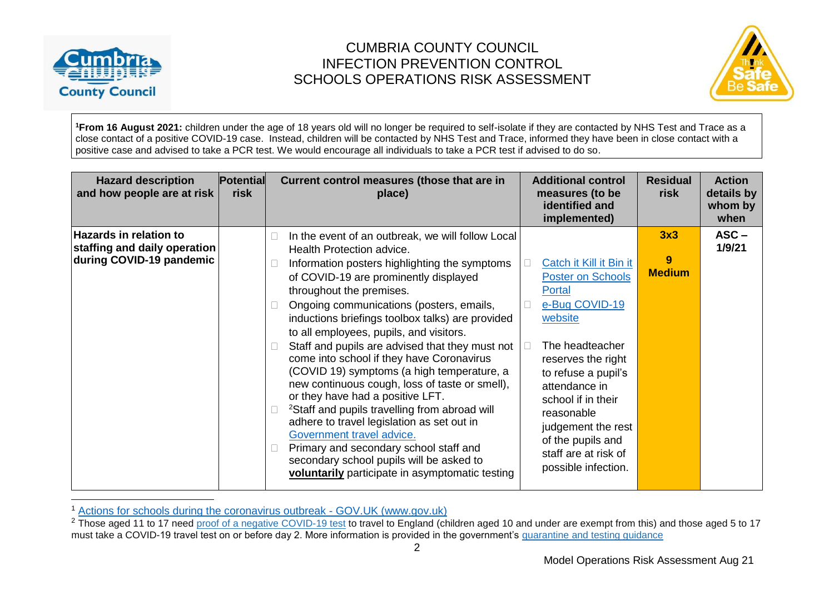

 $\overline{a}$ 

# CUMBRIA COUNTY COUNCIL INFECTION PREVENTION CONTROL SCHOOLS OPERATIONS RISK ASSESSMENT



**<sup>1</sup>From 16 August 2021:** children under the age of 18 years old will no longer be required to self-isolate if they are contacted by NHS Test and Trace as a close contact of a positive COVID-19 case. Instead, children will be contacted by NHS Test and Trace, informed they have been in close contact with a positive case and advised to take a PCR test. We would encourage all individuals to take a PCR test if advised to do so.

| <b>Hazard description</b><br>and how people are at risk                                   | <b>Potential</b><br>risk | <b>Additional control</b><br>Current control measures (those that are in<br>measures (to be<br>place)<br>identified and<br>implemented)                                                                                                                                                                                                                                                                                                                                                                                                                                                                                                                                                                                                                                                                                                                                                                                                                                                                                                                                                                                                                                           | <b>Residual</b><br>risk   | <b>Action</b><br>details by<br>whom by<br>when |
|-------------------------------------------------------------------------------------------|--------------------------|-----------------------------------------------------------------------------------------------------------------------------------------------------------------------------------------------------------------------------------------------------------------------------------------------------------------------------------------------------------------------------------------------------------------------------------------------------------------------------------------------------------------------------------------------------------------------------------------------------------------------------------------------------------------------------------------------------------------------------------------------------------------------------------------------------------------------------------------------------------------------------------------------------------------------------------------------------------------------------------------------------------------------------------------------------------------------------------------------------------------------------------------------------------------------------------|---------------------------|------------------------------------------------|
| <b>Hazards in relation to</b><br>staffing and daily operation<br>during COVID-19 pandemic |                          | In the event of an outbreak, we will follow Local<br>Health Protection advice.<br>Catch it Kill it Bin it<br>Information posters highlighting the symptoms<br><b>Poster on Schools</b><br>of COVID-19 are prominently displayed<br>throughout the premises.<br>Portal<br>e-Bug COVID-19<br>Ongoing communications (posters, emails,<br>website<br>inductions briefings toolbox talks) are provided<br>to all employees, pupils, and visitors.<br>The headteacher<br>Staff and pupils are advised that they must not<br>come into school if they have Coronavirus<br>reserves the right<br>(COVID 19) symptoms (a high temperature, a<br>to refuse a pupil's<br>new continuous cough, loss of taste or smell),<br>attendance in<br>or they have had a positive LFT.<br>school if in their<br><sup>2</sup> Staff and pupils travelling from abroad will<br>reasonable<br>adhere to travel legislation as set out in<br>judgement the rest<br>Government travel advice.<br>of the pupils and<br>Primary and secondary school staff and<br>staff are at risk of<br>secondary school pupils will be asked to<br>possible infection.<br>voluntarily participate in asymptomatic testing | 3x3<br>9<br><b>Medium</b> | $ASC -$<br>1/9/21                              |

<sup>1</sup> [Actions for schools during the coronavirus outbreak -](https://www.gov.uk/government/publications/actions-for-schools-during-the-coronavirus-outbreak) GOV.UK (www.gov.uk)

<sup>&</sup>lt;sup>2</sup> Those aged 11 to 17 need proof of a negative [COVID-19](https://www.gov.uk/guidance/coronavirus-covid-19-testing-for-people-travelling-to-england) test to travel to England (children aged 10 and under are exempt from this) and those aged 5 to 17 must take a COVID-19 travel test on or before day 2. More information is provided in the government's [quarantine](https://www.gov.uk/guidance/how-to-quarantine-when-you-arrive-in-england) and testing guidance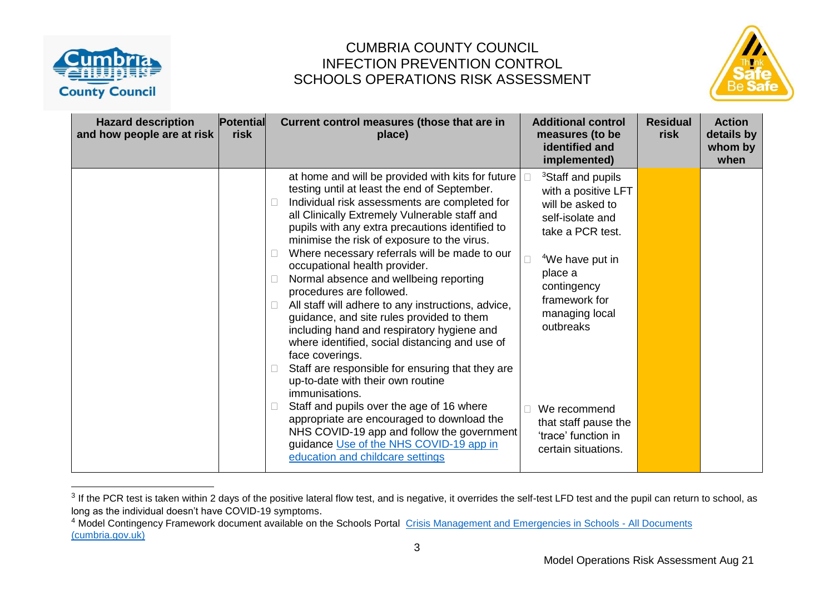



| <b>Hazard description</b><br>and how people are at risk | <b>Potential</b><br>risk | Current control measures (those that are in<br>place)                                                                                                                                                                                                                                                                                                                                                                                                                                                                                                                                                                                                                                                                                                                                                                                                                                                                                                                                                                                            | <b>Additional control</b><br>measures (to be<br>identified and<br>implemented)                                                                                                                                                                                                                                  | <b>Residual</b><br>risk | <b>Action</b><br>details by<br>whom by<br>when |
|---------------------------------------------------------|--------------------------|--------------------------------------------------------------------------------------------------------------------------------------------------------------------------------------------------------------------------------------------------------------------------------------------------------------------------------------------------------------------------------------------------------------------------------------------------------------------------------------------------------------------------------------------------------------------------------------------------------------------------------------------------------------------------------------------------------------------------------------------------------------------------------------------------------------------------------------------------------------------------------------------------------------------------------------------------------------------------------------------------------------------------------------------------|-----------------------------------------------------------------------------------------------------------------------------------------------------------------------------------------------------------------------------------------------------------------------------------------------------------------|-------------------------|------------------------------------------------|
|                                                         |                          | at home and will be provided with kits for future<br>testing until at least the end of September.<br>Individual risk assessments are completed for<br>all Clinically Extremely Vulnerable staff and<br>pupils with any extra precautions identified to<br>minimise the risk of exposure to the virus.<br>Where necessary referrals will be made to our<br>П.<br>occupational health provider.<br>Normal absence and wellbeing reporting<br>procedures are followed.<br>All staff will adhere to any instructions, advice,<br>guidance, and site rules provided to them<br>including hand and respiratory hygiene and<br>where identified, social distancing and use of<br>face coverings.<br>Staff are responsible for ensuring that they are<br>$\Box$<br>up-to-date with their own routine<br>immunisations.<br>Staff and pupils over the age of 16 where<br>$\Box$<br>appropriate are encouraged to download the<br>NHS COVID-19 app and follow the government<br>guidance Use of the NHS COVID-19 app in<br>education and childcare settings | <sup>3</sup> Staff and pupils<br>with a positive LFT<br>will be asked to<br>self-isolate and<br>take a PCR test.<br><sup>4</sup> We have put in<br>place a<br>contingency<br>framework for<br>managing local<br>outbreaks<br>We recommend<br>that staff pause the<br>'trace' function in<br>certain situations. |                         |                                                |

 $3$  If the PCR test is taken within 2 days of the positive lateral flow test, and is negative, it overrides the self-test LFD test and the pupil can return to school, as long as the individual doesn't have COVID-19 symptoms.

<sup>&</sup>lt;sup>4</sup> Model Contingency Framework document available on the Schools Portal [Crisis Management and Emergencies in Schools -](https://schools.cumbria.gov.uk/Reference%20Library/Forms/AllItems.aspx?RootFolder=%2FReference%20Library%2FHealth%20and%20Safety%2FCrisis%20Management%20and%20Emergencies%20in%20Schools&FolderCTID=0x01200048726C2A165D504480BCAF32B116BC9E&View=%7B9FFF4988%2D18AD%2D4845%2D9E0A%2DC419CCBA536A%7D) All Documents [\(cumbria.gov.uk\)](https://schools.cumbria.gov.uk/Reference%20Library/Forms/AllItems.aspx?RootFolder=%2FReference%20Library%2FHealth%20and%20Safety%2FCrisis%20Management%20and%20Emergencies%20in%20Schools&FolderCTID=0x01200048726C2A165D504480BCAF32B116BC9E&View=%7B9FFF4988%2D18AD%2D4845%2D9E0A%2DC419CCBA536A%7D)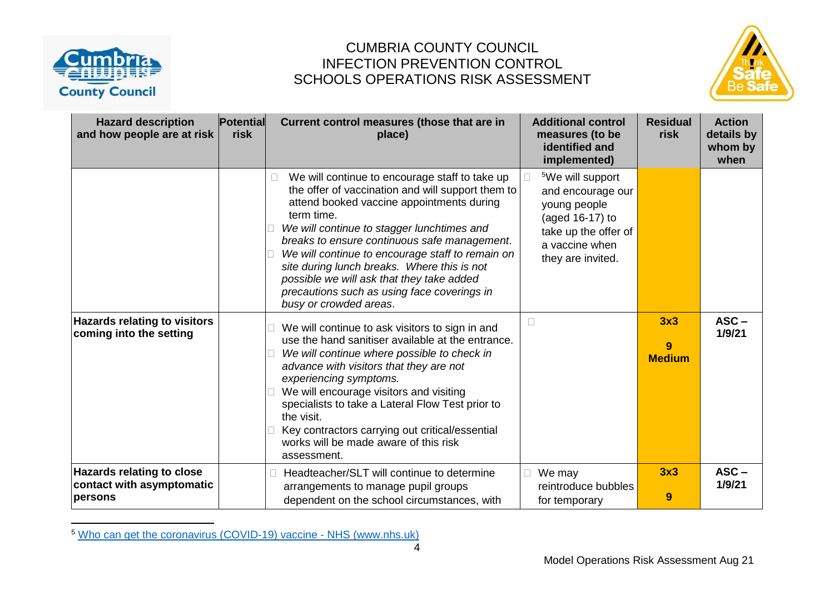

## CUMBRIA COUNTY COUNCIL INFECTION PREVENTION CONTROL SCHOOLS OPERATIONS RISK ASSESSMENT



| <b>Hazard description</b><br>and how people are at risk                  | Potential<br>risk | Current control measures (those that are in<br>place)                                                                                                                                                                                                                                                                                                                                                                                                                                 | <b>Additional control</b><br>measures (to be<br>identified and<br>implemented)                                                                      | <b>Residual</b><br>risk   | <b>Action</b><br>details by<br>whom by<br>when |
|--------------------------------------------------------------------------|-------------------|---------------------------------------------------------------------------------------------------------------------------------------------------------------------------------------------------------------------------------------------------------------------------------------------------------------------------------------------------------------------------------------------------------------------------------------------------------------------------------------|-----------------------------------------------------------------------------------------------------------------------------------------------------|---------------------------|------------------------------------------------|
|                                                                          |                   | We will continue to encourage staff to take up<br>the offer of vaccination and will support them to<br>attend booked vaccine appointments during<br>term time.<br>We will continue to stagger lunchtimes and<br>breaks to ensure continuous safe management.<br>We will continue to encourage staff to remain on<br>site during lunch breaks. Where this is not<br>possible we will ask that they take added<br>precautions such as using face coverings in<br>busy or crowded areas. | <sup>5</sup> We will support<br>and encourage our<br>young people<br>(aged 16-17) to<br>take up the offer of<br>a vaccine when<br>they are invited. |                           |                                                |
| <b>Hazards relating to visitors</b><br>coming into the setting           |                   | We will continue to ask visitors to sign in and<br>use the hand sanitiser available at the entrance.<br>We will continue where possible to check in<br>advance with visitors that they are not<br>experiencing symptoms.<br>We will encourage visitors and visiting<br>specialists to take a Lateral Flow Test prior to<br>the visit.<br>Key contractors carrying out critical/essential<br>works will be made aware of this risk<br>assessment.                                      | $\Box$                                                                                                                                              | 3x3<br>9<br><b>Medium</b> | $ASC -$<br>1/9/21                              |
| <b>Hazards relating to close</b><br>contact with asymptomatic<br>persons |                   | Headteacher/SLT will continue to determine<br>arrangements to manage pupil groups<br>dependent on the school circumstances, with                                                                                                                                                                                                                                                                                                                                                      | We may<br>reintroduce bubbles<br>for temporary                                                                                                      | 3x3<br>9                  | $ASC -$<br>1/9/21                              |

<sup>5</sup> [Who can get the coronavirus \(COVID-19\) vaccine -](https://www.nhs.uk/conditions/coronavirus-covid-19/coronavirus-vaccination/who-can-get-the-vaccine/) NHS (www.nhs.uk)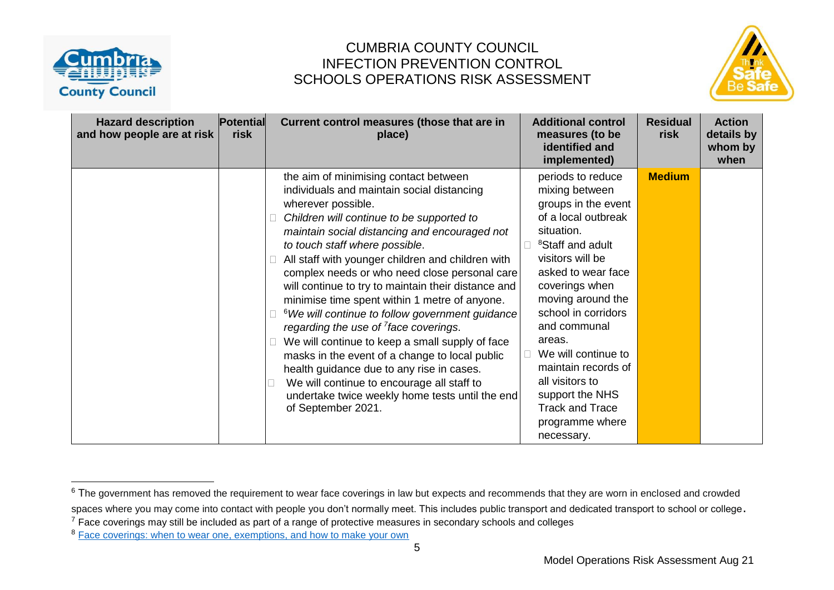



| <b>Hazard description</b><br>and how people are at risk | <b>Potential</b><br>risk | Current control measures (those that are in<br>place)                                                                                                                                                                                                                                                                                                                                                                                                                                                                                                                                                                                                                                                                                                                                                                                        | <b>Additional control</b><br>measures (to be<br>identified and<br>implemented)                                                                                                                                                                                                                                                                                                                                   | <b>Residual</b><br>risk | <b>Action</b><br>details by<br>whom by<br>when |
|---------------------------------------------------------|--------------------------|----------------------------------------------------------------------------------------------------------------------------------------------------------------------------------------------------------------------------------------------------------------------------------------------------------------------------------------------------------------------------------------------------------------------------------------------------------------------------------------------------------------------------------------------------------------------------------------------------------------------------------------------------------------------------------------------------------------------------------------------------------------------------------------------------------------------------------------------|------------------------------------------------------------------------------------------------------------------------------------------------------------------------------------------------------------------------------------------------------------------------------------------------------------------------------------------------------------------------------------------------------------------|-------------------------|------------------------------------------------|
|                                                         |                          | the aim of minimising contact between<br>individuals and maintain social distancing<br>wherever possible.<br>Children will continue to be supported to<br>maintain social distancing and encouraged not<br>to touch staff where possible.<br>All staff with younger children and children with<br>complex needs or who need close personal care<br>will continue to try to maintain their distance and<br>minimise time spent within 1 metre of anyone.<br><sup>6</sup> We will continue to follow government guidance<br>regarding the use of $^7$ face coverings.<br>We will continue to keep a small supply of face<br>masks in the event of a change to local public<br>health guidance due to any rise in cases.<br>We will continue to encourage all staff to<br>undertake twice weekly home tests until the end<br>of September 2021. | periods to reduce<br>mixing between<br>groups in the event<br>of a local outbreak<br>situation.<br><sup>8</sup> Staff and adult<br>visitors will be<br>asked to wear face<br>coverings when<br>moving around the<br>school in corridors<br>and communal<br>areas.<br>We will continue to<br>maintain records of<br>all visitors to<br>support the NHS<br><b>Track and Trace</b><br>programme where<br>necessary. | <b>Medium</b>           |                                                |

<sup>&</sup>lt;sup>6</sup> The government has removed the requirement to wear face coverings in law but expects and recommends that they are worn in enclosed and crowded spaces where you may come into contact with people you don't normally meet. This includes public transport and dedicated transport to school or college.

 $<sup>7</sup>$  Face coverings may still be included as part of a range of protective measures in secondary schools and colleges</sup>

<sup>&</sup>lt;sup>8</sup> [Face coverings: when to wear one, exemptions, and how to make your own](https://www.gov.uk/government/publications/face-coverings-when-to-wear-one-and-how-to-make-your-own/face-coverings-when-to-wear-one-and-how-to-make-your-own)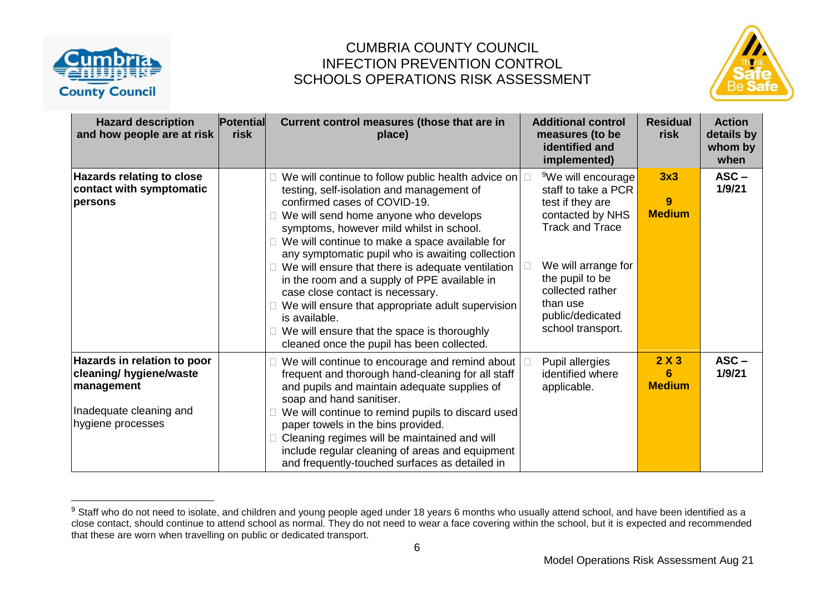



| <b>Hazard description</b><br>and how people are at risk                                                              | <b>Potential</b><br>risk | Current control measures (those that are in<br>place)                                                                                                                                                                                                                                                                                                                                                                                                                                                                                                                                                                                  | <b>Additional control</b><br>measures (to be<br>identified and<br>implemented)                                                                                                                                                             | <b>Residual</b><br>risk   | <b>Action</b><br>details by<br>whom by<br>when |
|----------------------------------------------------------------------------------------------------------------------|--------------------------|----------------------------------------------------------------------------------------------------------------------------------------------------------------------------------------------------------------------------------------------------------------------------------------------------------------------------------------------------------------------------------------------------------------------------------------------------------------------------------------------------------------------------------------------------------------------------------------------------------------------------------------|--------------------------------------------------------------------------------------------------------------------------------------------------------------------------------------------------------------------------------------------|---------------------------|------------------------------------------------|
| <b>Hazards relating to close</b><br>contact with symptomatic<br>persons                                              |                          | We will continue to follow public health advice on<br>testing, self-isolation and management of<br>confirmed cases of COVID-19.<br>We will send home anyone who develops<br>symptoms, however mild whilst in school.<br>We will continue to make a space available for<br>any symptomatic pupil who is awaiting collection<br>We will ensure that there is adequate ventilation<br>in the room and a supply of PPE available in<br>case close contact is necessary.<br>We will ensure that appropriate adult supervision<br>is available.<br>We will ensure that the space is thoroughly<br>cleaned once the pupil has been collected. | <sup>9</sup> We will encourage<br>staff to take a PCR<br>test if they are<br>contacted by NHS<br><b>Track and Trace</b><br>We will arrange for<br>the pupil to be<br>collected rather<br>than use<br>public/dedicated<br>school transport. | 3x3<br>9<br><b>Medium</b> | $ASC -$<br>1/9/21                              |
| Hazards in relation to poor<br>cleaning/ hygiene/waste<br>management<br>Inadequate cleaning and<br>hygiene processes |                          | We will continue to encourage and remind about<br>frequent and thorough hand-cleaning for all staff<br>and pupils and maintain adequate supplies of<br>soap and hand sanitiser.<br>We will continue to remind pupils to discard used<br>paper towels in the bins provided.<br>Cleaning regimes will be maintained and will<br>include regular cleaning of areas and equipment<br>and frequently-touched surfaces as detailed in                                                                                                                                                                                                        | Pupil allergies<br>identified where<br>applicable.                                                                                                                                                                                         | 2X3<br>6<br><b>Medium</b> | $ASC -$<br>1/9/21                              |

<sup>&</sup>lt;sup>9</sup> Staff who do not need to isolate, and children and young people aged under 18 years 6 months who usually attend school, and have been identified as a close contact, should continue to attend school as normal. They do not need to wear a face covering within the school, but it is expected and recommended that these are worn when travelling on public or dedicated transport.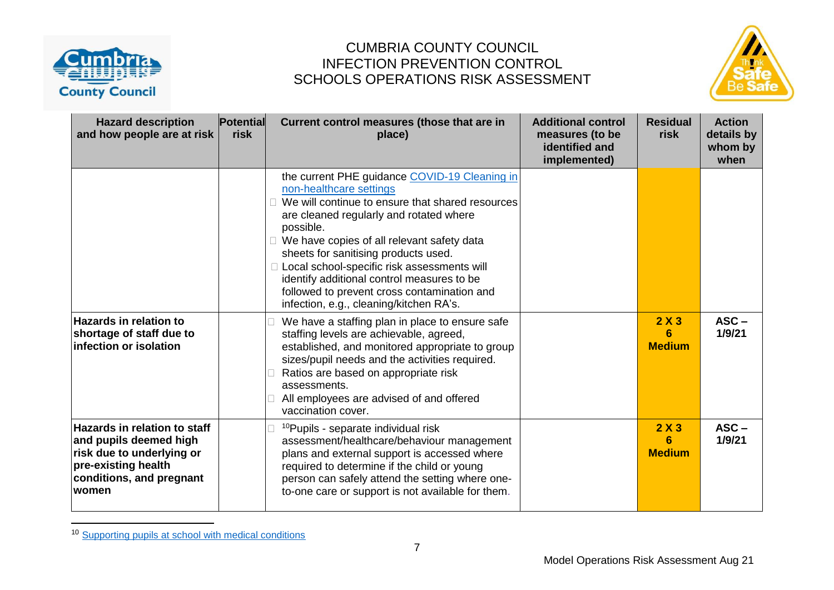



| <b>Hazard description</b><br>and how people are at risk                                                                                                | <b>Potential</b><br>risk | Current control measures (those that are in<br>place)                                                                                                                                                                                                                                                                                                                                                                                                               | <b>Additional control</b><br>measures (to be<br>identified and<br>implemented) | <b>Residual</b><br>risk   | <b>Action</b><br>details by<br>whom by<br>when |
|--------------------------------------------------------------------------------------------------------------------------------------------------------|--------------------------|---------------------------------------------------------------------------------------------------------------------------------------------------------------------------------------------------------------------------------------------------------------------------------------------------------------------------------------------------------------------------------------------------------------------------------------------------------------------|--------------------------------------------------------------------------------|---------------------------|------------------------------------------------|
|                                                                                                                                                        |                          | the current PHE guidance COVID-19 Cleaning in<br>non-healthcare settings<br>We will continue to ensure that shared resources<br>are cleaned regularly and rotated where<br>possible.<br>We have copies of all relevant safety data<br>sheets for sanitising products used.<br>□ Local school-specific risk assessments will<br>identify additional control measures to be<br>followed to prevent cross contamination and<br>infection, e.g., cleaning/kitchen RA's. |                                                                                |                           |                                                |
| <b>Hazards in relation to</b><br>shortage of staff due to<br>infection or isolation                                                                    |                          | We have a staffing plan in place to ensure safe<br>staffing levels are achievable, agreed,<br>established, and monitored appropriate to group<br>sizes/pupil needs and the activities required.<br>Ratios are based on appropriate risk<br>assessments.<br>All employees are advised of and offered<br>vaccination cover.                                                                                                                                           |                                                                                | 2X3<br>6<br><b>Medium</b> | $ASC -$<br>1/9/21                              |
| <b>Hazards in relation to staff</b><br>and pupils deemed high<br>risk due to underlying or<br>pre-existing health<br>conditions, and pregnant<br>women |                          | <sup>10</sup> Pupils - separate individual risk<br>assessment/healthcare/behaviour management<br>plans and external support is accessed where<br>required to determine if the child or young<br>person can safely attend the setting where one-<br>to-one care or support is not available for them.                                                                                                                                                                |                                                                                | 2X3<br>6<br><b>Medium</b> | $ASC -$<br>1/9/21                              |

<sup>&</sup>lt;sup>10</sup> [Supporting pupils at school with medical conditions](https://www.gov.uk/government/publications/supporting-pupils-at-school-with-medical-conditions--3)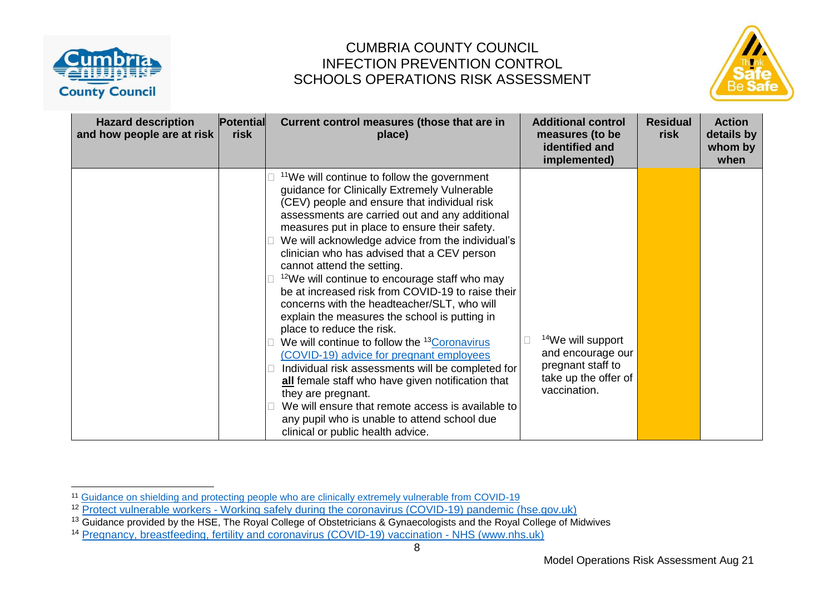



| <b>Hazard description</b><br>and how people are at risk | <b>Potential</b><br>risk | Current control measures (those that are in<br>place)                                                                                                                                                                                                                                                                                                                                                                                                                                                                                                                                                                                                                                                                                                                                                                                                                                                                                                                                                                        | <b>Additional control</b><br>measures (to be<br>identified and<br>implemented)                                  | <b>Residual</b><br>risk | <b>Action</b><br>details by<br>whom by<br>when |
|---------------------------------------------------------|--------------------------|------------------------------------------------------------------------------------------------------------------------------------------------------------------------------------------------------------------------------------------------------------------------------------------------------------------------------------------------------------------------------------------------------------------------------------------------------------------------------------------------------------------------------------------------------------------------------------------------------------------------------------------------------------------------------------------------------------------------------------------------------------------------------------------------------------------------------------------------------------------------------------------------------------------------------------------------------------------------------------------------------------------------------|-----------------------------------------------------------------------------------------------------------------|-------------------------|------------------------------------------------|
|                                                         |                          | <sup>11</sup> We will continue to follow the government<br>guidance for Clinically Extremely Vulnerable<br>(CEV) people and ensure that individual risk<br>assessments are carried out and any additional<br>measures put in place to ensure their safety.<br>We will acknowledge advice from the individual's<br>clinician who has advised that a CEV person<br>cannot attend the setting.<br><sup>12</sup> We will continue to encourage staff who may<br>be at increased risk from COVID-19 to raise their<br>concerns with the headteacher/SLT, who will<br>explain the measures the school is putting in<br>place to reduce the risk.<br>We will continue to follow the <sup>13</sup> Coronavirus<br>(COVID-19) advice for pregnant employees<br>Individual risk assessments will be completed for<br>all female staff who have given notification that<br>they are pregnant.<br>We will ensure that remote access is available to<br>any pupil who is unable to attend school due<br>clinical or public health advice. | <sup>14</sup> We will support<br>and encourage our<br>pregnant staff to<br>take up the offer of<br>vaccination. |                         |                                                |

<sup>&</sup>lt;sup>11</sup> [Guidance on shielding and protecting people who are clinically extremely vulnerable from COVID-19](https://www.gov.uk/government/publications/guidance-on-shielding-and-protecting-extremely-vulnerable-persons-from-covid-19/guidance-on-shielding-and-protecting-extremely-vulnerable-persons-from-covid-19)

<sup>&</sup>lt;sup>12</sup> Protect vulnerable workers - [Working safely during the coronavirus \(COVID-19\) pandemic \(hse.gov.uk\)](https://www.hse.gov.uk/coronavirus/working-safely/protect-people.htm)

<sup>&</sup>lt;sup>13</sup> Guidance provided by the HSE, The Royal College of Obstetricians & Gynaecologists and the Royal College of Midwives

<sup>14</sup> [Pregnancy, breastfeeding, fertility and coronavirus \(COVID-19\) vaccination -](https://www.nhs.uk/conditions/coronavirus-covid-19/coronavirus-vaccination/pregnancy-breastfeeding-fertility-and-coronavirus-covid-19-vaccination/) NHS (www.nhs.uk)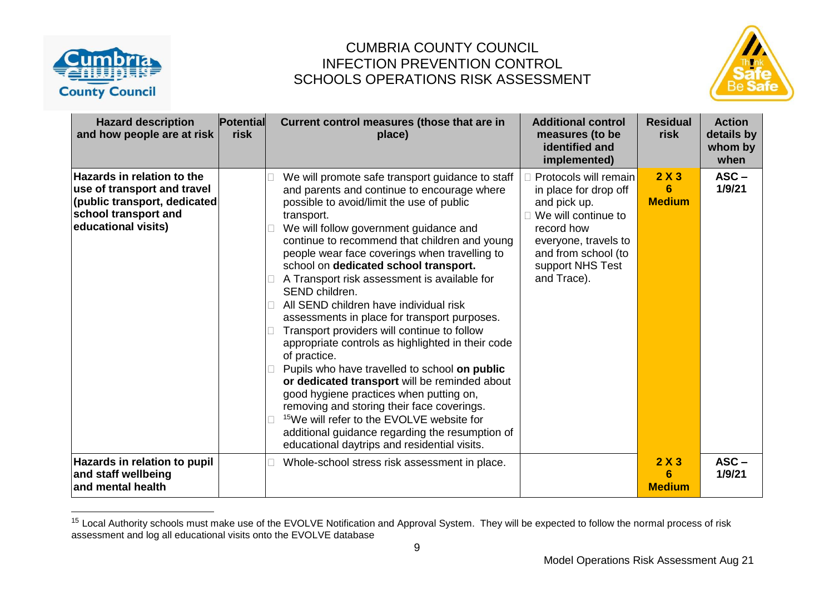



| <b>Hazard description</b><br>and how people are at risk                                                                                         | <b>Potential</b><br>risk | Current control measures (those that are in<br>place)                                                                                                                                                                                                                                                                                                                                                                                                                                                                                                                                                                                                                                                                                                                                                                                                                                                                                                                                  | <b>Additional control</b><br>measures (to be<br>identified and<br>implemented)                                                                                                        | <b>Residual</b><br>risk   | <b>Action</b><br>details by<br>whom by<br>when |
|-------------------------------------------------------------------------------------------------------------------------------------------------|--------------------------|----------------------------------------------------------------------------------------------------------------------------------------------------------------------------------------------------------------------------------------------------------------------------------------------------------------------------------------------------------------------------------------------------------------------------------------------------------------------------------------------------------------------------------------------------------------------------------------------------------------------------------------------------------------------------------------------------------------------------------------------------------------------------------------------------------------------------------------------------------------------------------------------------------------------------------------------------------------------------------------|---------------------------------------------------------------------------------------------------------------------------------------------------------------------------------------|---------------------------|------------------------------------------------|
| <b>Hazards in relation to the</b><br>use of transport and travel<br>(public transport, dedicated<br>school transport and<br>educational visits) |                          | We will promote safe transport guidance to staff<br>and parents and continue to encourage where<br>possible to avoid/limit the use of public<br>transport.<br>We will follow government guidance and<br>continue to recommend that children and young<br>people wear face coverings when travelling to<br>school on dedicated school transport.<br>A Transport risk assessment is available for<br>SEND children.<br>All SEND children have individual risk<br>assessments in place for transport purposes.<br>Transport providers will continue to follow<br>appropriate controls as highlighted in their code<br>of practice.<br>Pupils who have travelled to school on public<br>or dedicated transport will be reminded about<br>good hygiene practices when putting on,<br>removing and storing their face coverings.<br><sup>15</sup> We will refer to the EVOLVE website for<br>additional guidance regarding the resumption of<br>educational daytrips and residential visits. | Protocols will remain<br>in place for drop off<br>and pick up.<br>We will continue to<br>record how<br>everyone, travels to<br>and from school (to<br>support NHS Test<br>and Trace). | 2X3<br>6<br><b>Medium</b> | $ASC -$<br>1/9/21                              |
| Hazards in relation to pupil<br>and staff wellbeing<br>and mental health                                                                        |                          | Whole-school stress risk assessment in place.                                                                                                                                                                                                                                                                                                                                                                                                                                                                                                                                                                                                                                                                                                                                                                                                                                                                                                                                          |                                                                                                                                                                                       | 2X3<br>6<br><b>Medium</b> | $ASC -$<br>1/9/21                              |

<sup>&</sup>lt;sup>15</sup> Local Authority schools must make use of the EVOLVE Notification and Approval System. They will be expected to follow the normal process of risk assessment and log all educational visits onto the EVOLVE database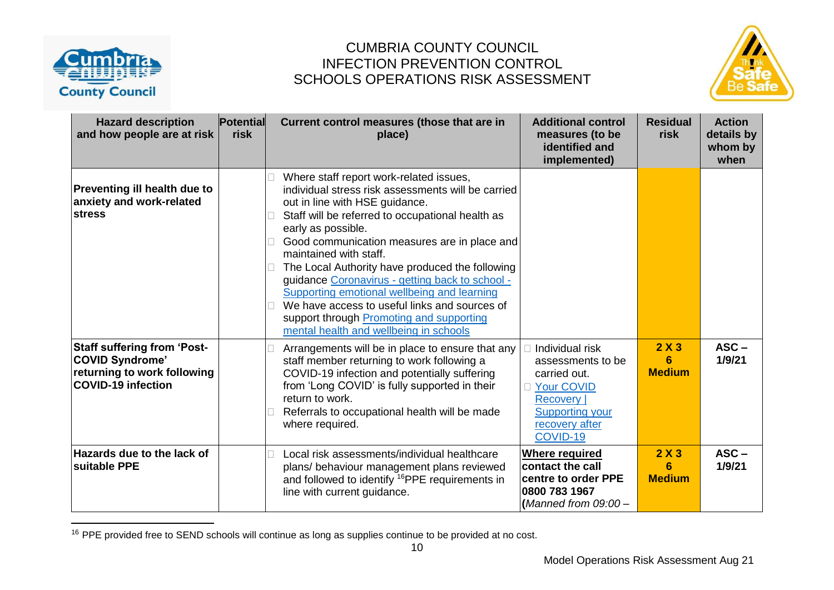



| <b>Hazard description</b><br>and how people are at risk                                                           | <b>Potential</b><br>risk | Current control measures (those that are in<br>place)                                                                                                                                                                                                                                                                                                                                                                                                                                                                                                                           | <b>Additional control</b><br>measures (to be<br>identified and<br>implemented)                                                                       | <b>Residual</b><br>risk   | <b>Action</b><br>details by<br>whom by<br>when |
|-------------------------------------------------------------------------------------------------------------------|--------------------------|---------------------------------------------------------------------------------------------------------------------------------------------------------------------------------------------------------------------------------------------------------------------------------------------------------------------------------------------------------------------------------------------------------------------------------------------------------------------------------------------------------------------------------------------------------------------------------|------------------------------------------------------------------------------------------------------------------------------------------------------|---------------------------|------------------------------------------------|
| Preventing ill health due to<br>anxiety and work-related<br><b>stress</b>                                         |                          | Where staff report work-related issues,<br>individual stress risk assessments will be carried<br>out in line with HSE guidance.<br>Staff will be referred to occupational health as<br>early as possible.<br>Good communication measures are in place and<br>maintained with staff.<br>The Local Authority have produced the following<br>guidance Coronavirus - getting back to school -<br>Supporting emotional wellbeing and learning<br>We have access to useful links and sources of<br>support through Promoting and supporting<br>mental health and wellbeing in schools |                                                                                                                                                      |                           |                                                |
| <b>Staff suffering from 'Post-</b><br>COVID Syndrome'<br>returning to work following<br><b>COVID-19 infection</b> |                          | Arrangements will be in place to ensure that any<br>staff member returning to work following a<br>COVID-19 infection and potentially suffering<br>from 'Long COVID' is fully supported in their<br>return to work.<br>Referrals to occupational health will be made<br>where required.                                                                                                                                                                                                                                                                                          | Individual risk<br>assessments to be<br>carried out.<br><b>Your COVID</b><br><b>Recovery</b><br><b>Supporting your</b><br>recovery after<br>COVID-19 | 2X3<br>6<br><b>Medium</b> | $ASC -$<br>1/9/21                              |
| <b>Hazards due to the lack of</b><br><b>Isuitable PPE</b>                                                         |                          | Local risk assessments/individual healthcare<br>plans/ behaviour management plans reviewed<br>and followed to identify <sup>16</sup> PPE requirements in<br>line with current guidance.                                                                                                                                                                                                                                                                                                                                                                                         | <b>Where required</b><br>contact the call<br>centre to order PPE<br>0800 783 1967<br>(Manned from $09:00 -$                                          | 2X3<br>6<br><b>Medium</b> | $ASC -$<br>1/9/21                              |

<sup>&</sup>lt;sup>16</sup> PPE provided free to SEND schools will continue as long as supplies continue to be provided at no cost.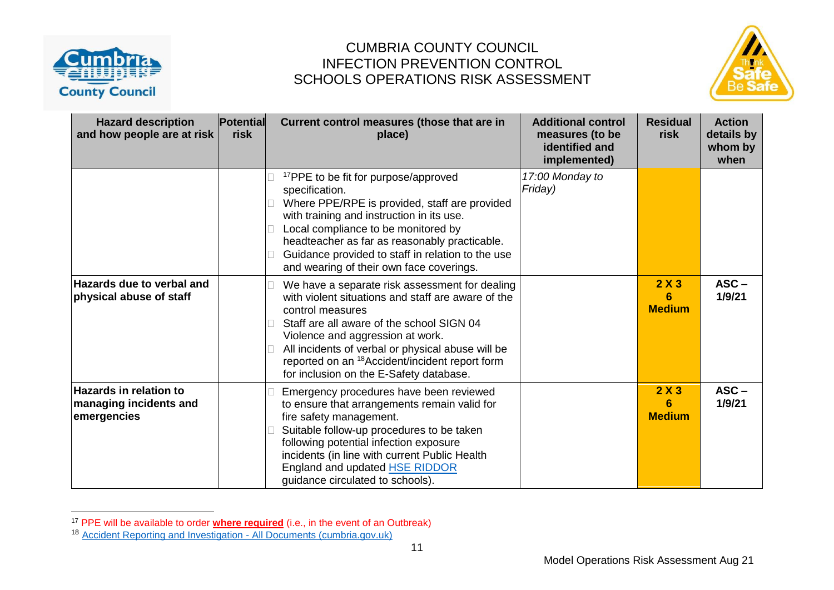



| <b>Hazard description</b><br>and how people are at risk                | <b>Potential</b><br>risk | Current control measures (those that are in<br>place)                                                                                                                                                                                                                                                                                                                   | <b>Additional control</b><br>measures (to be<br>identified and<br>implemented) | <b>Residual</b><br>risk   | <b>Action</b><br>details by<br>whom by<br>when |
|------------------------------------------------------------------------|--------------------------|-------------------------------------------------------------------------------------------------------------------------------------------------------------------------------------------------------------------------------------------------------------------------------------------------------------------------------------------------------------------------|--------------------------------------------------------------------------------|---------------------------|------------------------------------------------|
|                                                                        |                          | <sup>17</sup> PPE to be fit for purpose/approved<br>specification.<br>Where PPE/RPE is provided, staff are provided<br>with training and instruction in its use.<br>Local compliance to be monitored by<br>headteacher as far as reasonably practicable.<br>Guidance provided to staff in relation to the use<br>and wearing of their own face coverings.               | 17:00 Monday to<br>Friday)                                                     |                           |                                                |
| <b>Hazards due to verbal and</b><br>physical abuse of staff            |                          | We have a separate risk assessment for dealing<br>with violent situations and staff are aware of the<br>control measures<br>Staff are all aware of the school SIGN 04<br>Violence and aggression at work.<br>All incidents of verbal or physical abuse will be<br>reported on an <sup>18</sup> Accident/incident report form<br>for inclusion on the E-Safety database. |                                                                                | 2X3<br>6<br><b>Medium</b> | $ASC -$<br>1/9/21                              |
| $\sf{Hazards}$ in relation to<br>managing incidents and<br>emergencies |                          | Emergency procedures have been reviewed<br>to ensure that arrangements remain valid for<br>fire safety management.<br>Suitable follow-up procedures to be taken<br>following potential infection exposure<br>incidents (in line with current Public Health<br>England and updated <b>HSE RIDDOR</b><br>guidance circulated to schools).                                 |                                                                                |                           | $ASC -$<br>1/9/21                              |

<sup>17</sup> PPE will be available to order **where required** (i.e., in the event of an Outbreak)

<sup>&</sup>lt;sup>18</sup> [Accident Reporting and Investigation -](https://schools.cumbria.gov.uk/Reference%20Library/Forms/AllItems.aspx?RootFolder=%2FReference%20Library%2FHealth%20and%20Safety%2FAccident%20Reporting%20and%20Investigation&FolderCTID=0x01200048726C2A165D504480BCAF32B116BC9E&View=%7B9FFF4988%2D18AD%2D4845%2D9E0A%2DC419CCBA536A%7D) All Documents (cumbria.gov.uk)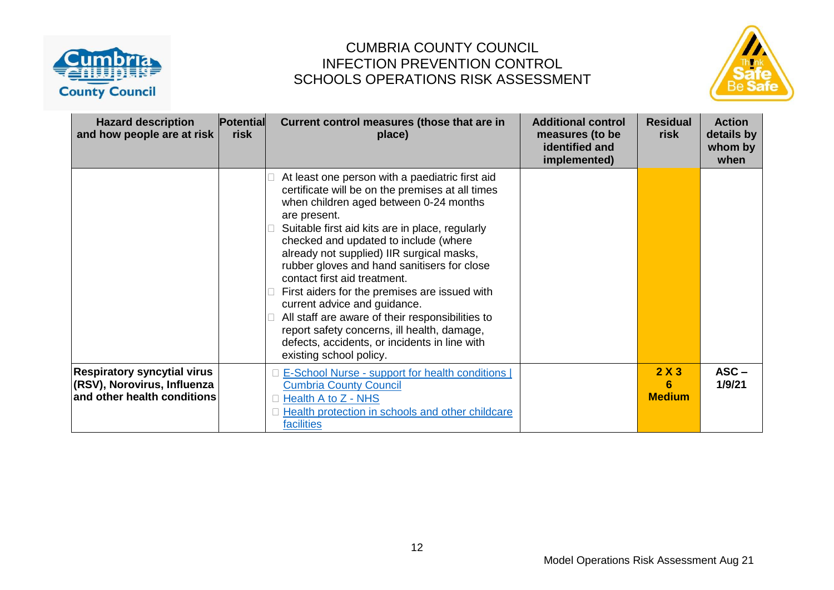



| <b>Hazard description</b><br>and how people are at risk                                          | Potential<br>risk | Current control measures (those that are in<br>place)                                                                                                                                                                                                                                                                                                                                                                                                                                                                                                                                                                                                 | <b>Additional control</b><br>measures (to be<br>identified and<br>implemented) | <b>Residual</b><br>risk   | <b>Action</b><br>details by<br>whom by<br>when |
|--------------------------------------------------------------------------------------------------|-------------------|-------------------------------------------------------------------------------------------------------------------------------------------------------------------------------------------------------------------------------------------------------------------------------------------------------------------------------------------------------------------------------------------------------------------------------------------------------------------------------------------------------------------------------------------------------------------------------------------------------------------------------------------------------|--------------------------------------------------------------------------------|---------------------------|------------------------------------------------|
|                                                                                                  |                   | At least one person with a paediatric first aid<br>certificate will be on the premises at all times<br>when children aged between 0-24 months<br>are present.<br>Suitable first aid kits are in place, regularly<br>checked and updated to include (where<br>already not supplied) IIR surgical masks,<br>rubber gloves and hand sanitisers for close<br>contact first aid treatment.<br>First aiders for the premises are issued with<br>current advice and guidance.<br>All staff are aware of their responsibilities to<br>report safety concerns, ill health, damage,<br>defects, accidents, or incidents in line with<br>existing school policy. |                                                                                |                           |                                                |
| <b>Respiratory syncytial virus</b><br>(RSV), Norovirus, Influenza<br>and other health conditions |                   | <b>E-School Nurse - support for health conditions  </b><br><b>Cumbria County Council</b><br>Health A to Z - NHS<br>Health protection in schools and other childcare<br>facilities                                                                                                                                                                                                                                                                                                                                                                                                                                                                     |                                                                                | 2X3<br>6<br><b>Medium</b> | $ASC -$<br>1/9/21                              |